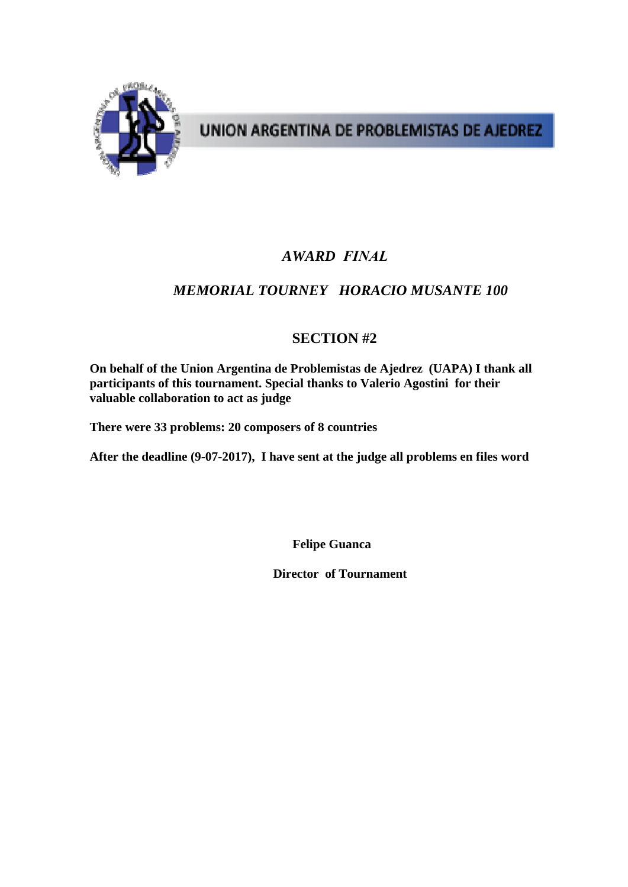

UNION ARGENTINA DE PROBLEMISTAS DE AJEDREZ

### *AWARD FINAL*

## *MEMORIAL TOURNEY HORACIO MUSANTE 100*

## **SECTION #2**

**On behalf of the Union Argentina de Problemistas de Ajedrez (UAPA) I thank all participants of this tournament. Special thanks to Valerio Agostini for their valuable collaboration to act as judge** 

**There were 33 problems: 20 composers of 8 countries** 

**After the deadline (9-07-2017), I have sent at the judge all problems en files word** 

**Felipe Guanca** 

**Director of Tournament**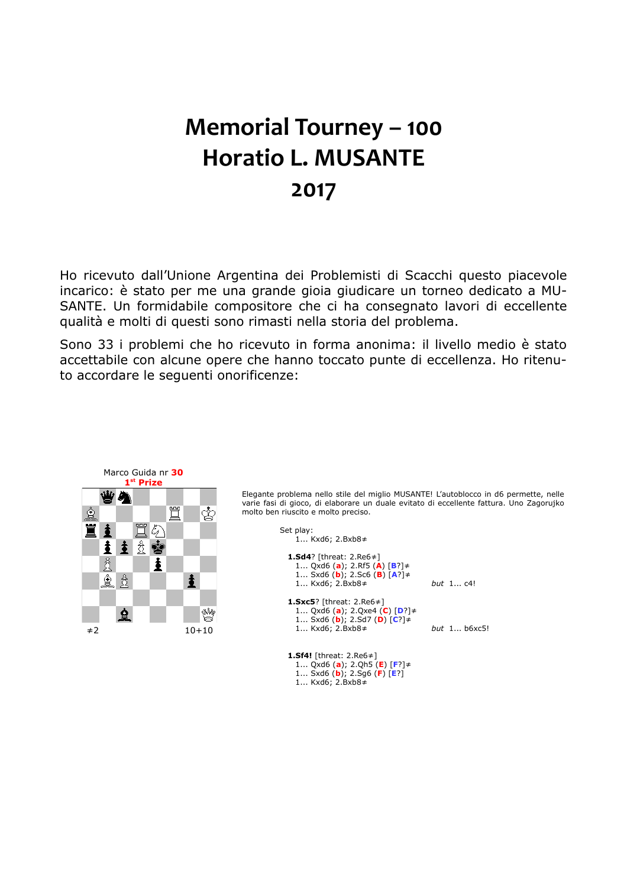# **Memorial Tourney – 100 Horatio L. MUSANTE 2017**

Ho ricevuto dall'Unione Argentina dei Problemisti di Scacchi questo piacevole incarico: è stato per me una grande gioia giudicare un torneo dedicato a MU-SANTE. Un formidabile compositore che ci ha consegnato lavori di eccellente qualità e molti di questi sono rimasti nella storia del problema.

Sono 33 i problemi che ho ricevuto in forma anonima: il livello medio è stato accettabile con alcune opere che hanno toccato punte di eccellenza. Ho ritenuto accordare le seguenti onorificenze:



 1... Sxd6 (**b**); 2.Sg6 (**F**) [**E**?] 1... Kxd6; 2.Bxb8≠

varie fasi di gioco, di elaborare un duale evitato di eccellente fattura. Uno Zagorujko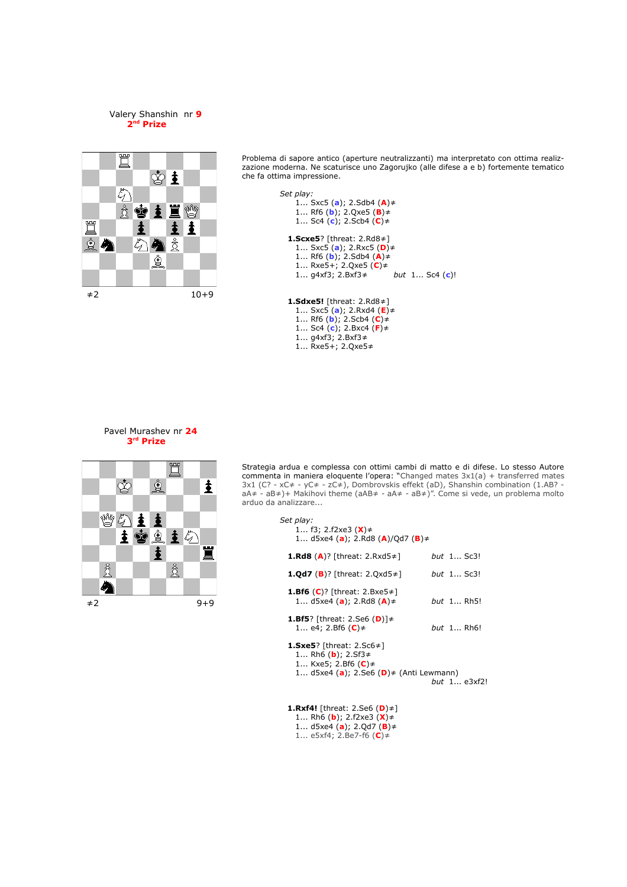



Problema di sapore antico (aperture neutralizzanti) ma interpretato con ottima realizzazione moderna. Ne scaturisce uno Zagorujko (alle difese a e b) fortemente tematico che fa ottima impressione.

```
Set play:
    1... Sxc5 (a); 2.Sdb4 (A)≠
    1... Rf6 (b); 2.Qxe5 (B)≠
    1... Sc4 (c); 2.Scb4 (C)≠
 1.Scxe5? [threat: 2.Rd8≠]
    1... Sxc5 (a); 2.Rxc5 (D)≠
    1... Rf6 (b); 2.Sdb4 (A)≠ 
    1... Rxe5+; 2.Qxe5 (C)≠ 
    1... g4xf3; 2.Bxf3≠ but 1... Sc4 (c)!
 1.Sdxe5! [threat: 2.Rd8≠]
    1... Sxc5 (a); 2.Rxd4 (E)≠
    1... Rf6 (b); 2.Scb4 (C)≠
    1... Sc4 (c); 2.Bxc4 (F)≠
```
 1... g4xf3; 2.Bxf3≠ 1... Rxe5+; 2.Qxe5≠





Strategia ardua e complessa con ottimi cambi di matto e di difese. Lo stesso Autore commenta in maniera eloquente l'opera: "Changed mates 3x1(a) + transferred mates 3x1 (C? - xC≠ - yC≠ - zC≠), Dombrovskis effekt (aD), Shanshin combination (1.AB? aA≠ - aB≠)+ Makihovi theme (aAB≠ - aA≠ - aB≠)". Come si vede, un problema molto arduo da analizzare...

| Set play:<br>1 f3; 2.f2xe3 ( <b>X</b> )≠<br>1 $d5xe4$ (a); 2.Rd8 (A)/Qd7 (B) $\neq$                                                                      |                   |
|----------------------------------------------------------------------------------------------------------------------------------------------------------|-------------------|
| <b>1.Rd8</b> (A)? [threat: 2.Rxd5 $\neq$ ]                                                                                                               | but 1 Sc3!        |
| <b>1.Qd7</b> ( <b>B</b> )? [threat: 2.Qxd5 $\neq$ ]                                                                                                      | but $1$ Sc3!      |
| <b>1.Bf6</b> (C)? [threat: 2.Bxe5 $\neq$ ]<br>1 $d5xe4 (a)$ ; 2.Rd8 $(A) \neq$                                                                           | but 1 Rh5!        |
| <b>1.Bf5</b> ? [threat: 2.Se6 (D)] $\neq$<br>1 e4; 2.Bf6 (C)≠                                                                                            | <i>but</i> 1 Rh6! |
| <b>1.Sxe5</b> ? [threat: $2.5c6 \neq 1$<br>1 Rh6 ( <b>b</b> ); 2.Sf3≠<br>1 Kxe5; 2.Bf6 $(C)$ $\neq$<br>1 $d5xe4 (a)$ ; 2.Se6 $(D)$ $\neq$ (Anti Lewmann) | but $1e3xf2!$     |

 **1.Rxf4!** [threat: 2.Se6 (**D**)≠] 1... Rh6 (**b**); 2.f2xe3 (**X**)≠ 1... d5xe4 (**a**); 2.Qd7 (**B**)≠ 1... e5xf4; 2.Be7-f6 (**C**)≠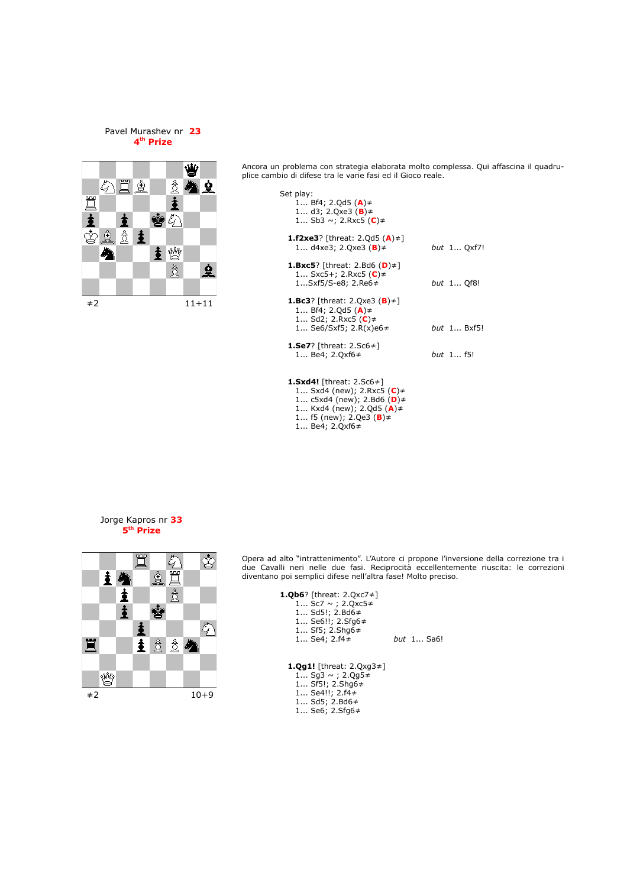#### Pavel Murashev nr **23 4 th Prize**



Ancora un problema con strategia elaborata molto complessa. Qui affascina il quadruplice cambio di difese tra le varie fasi ed il Gioco reale.

| Set play:<br>1 Bf4; 2.Qd5 $(A) \neq$<br>1 d3; 2.0xe3 ( <b>B</b> ) $\neq$<br>1 Sb3 ~; 2.Rxc5 (C)≠                                           |                    |
|--------------------------------------------------------------------------------------------------------------------------------------------|--------------------|
| <b>1.f2xe3</b> ? [threat: 2.Qd5 $(A) \neq 1$<br>1 d4xe3; 2.Qxe3 ( <b>B</b> )≠                                                              | <i>but</i> 1 Qxf7! |
| <b>1.Bxc5</b> ? [threat: 2.Bd6 $(D) \neq 1$<br>1 Sxc5+; 2.Rxc5 (C)≠<br>1Sxf5/S-e8; 2.Re6≠                                                  | but 1 Qf8!         |
| <b>1.Bc3</b> ? [threat: 2.Qxe3 ( <b>B</b> ) $\neq$ ]<br>1 Bf4; 2.Qd5 $(A) \neq$<br>1 Sd2; 2.Rxc5 (C)≠<br>1 Se6/Sxf5; 2.R(x)e6 $\neq$       | <i>but</i> 1 Bxf5! |
| <b>1.Se7</b> ? [threat: $2.5c6 \neq 1$<br>1 Be4; 2.0xf6 $\neq$                                                                             | <i>but</i> 1 f5!   |
| <b>1.Sxd4!</b> [threat: 2.Sc6 $\neq$ ]<br>1 Sxd4 (new); 2.Rxc5 (C) $\neq$<br>1 $c5xd4$ (new); 2.Bd6 (D) $\neq$<br>1 Kxd4 (new); 2.Qd5 (A)≠ |                    |

## Jorge Kapros nr **33**





Opera ad alto "intrattenimento". L'Autore ci propone l'inversione della correzione tra i due Cavalli neri nelle due fasi. Reciprocità eccellentemente riuscita: le correzioni diventano poi semplici difese nell'altra fase! Molto preciso.

| <b>1.0b6</b> ? [threat: $2.0 \times 7 \neq 1$<br>1 Sc7 $\sim$ ; 2.0xc5 $\neq$<br>1 Sd5!; 2.Bd6 $\neq$<br>1 Se6!!; 2.Sfq6≠<br>1 Sf5; 2.Shq6 $\neq$<br>1 Se4; 2.f4 $\neq$ | but 1 Sa6! |
|-------------------------------------------------------------------------------------------------------------------------------------------------------------------------|------------|
| <b>1.0g1!</b> [threat: $2.0xq3 \ne 1$ ]<br>1 Sq3 $\sim$ ; 2.0g5 $\neq$<br>$Sf5I: 2 Shn6 \pm$                                                                            |            |

 1... f5 (new); 2.Qe3 (**B**)≠ 1... Be4; 2.Qxf6≠

1... Sf5!; 2.Shg6≠

- 1... Se4!!; 2.f4≠ 1... Sd5; 2.Bd6≠
- 1... Se6; 2.Sfg6≠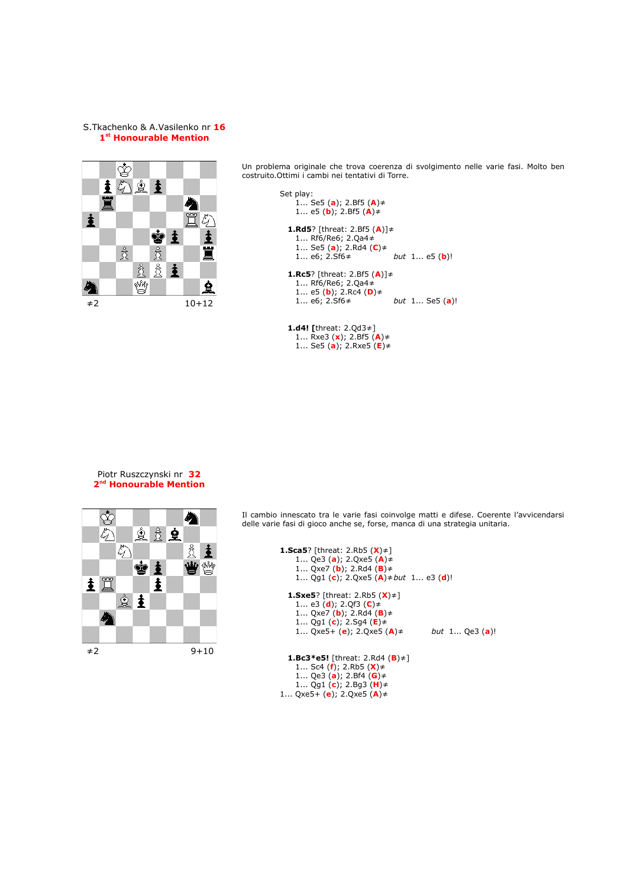#### S.Tkachenko & A.Vasilenko nr **16 1 st Honourable Mention**



Un problema originale che trova coerenza di svolgimento nelle varie fasi. Molto ben costruito.Ottimi i cambi nei tentativi di Torre.

```
Set play:
    1... Se5 (a); 2.Bf5 (A)≠
    1... e5 (b); 2.Bf5 (A)≠
 1.Rd5? [threat: 2.Bf5 (A)]≠
    1... Rf6/Re6; 2.Qa4≠
    1... Se5 (a); 2.Rd4 (C)≠
    1... e6; 2.Sf6≠ but 1... e5 (b)!
 1.Rc5? [threat: 2.Bf5 (A)]≠
    1... Rf6/Re6; 2.Qa4≠
    1... e5 (b); 2.Rc4 (D)≠
    1... e6; 2.Sf6≠ but 1... Se5 (a)!
```
**1.d4! [**threat: 2.Qd3≠] 1... Rxe3 (**x**); 2.Bf5 (**A**)≠ 1... Se5 (**a**); 2.Rxe5 (**E**)≠

#### Piotr Ruszczynski nr **32 2 nd Honourable Mention**



Il cambio innescato tra le varie fasi coinvolge matti e difese. Coerente l'avvicendarsi delle varie fasi di gioco anche se, forse, manca di una strategia unitaria.

```
1.Sca5? [threat: 2.Rb5 (X)≠]
    1... Qe3 (a); 2.Qxe5 (A)≠
    1... Qxe7 (b); 2.Rd4 (B)≠
    1... Qg1 (c); 2.Qxe5 (A)≠but 1... e3 (d)!
 1.Sxe5? [threat: 2.Rb5 (X)≠]
    1... e3 (d); 2.Qf3 (C)≠
    1... Qxe7 (b); 2.Rd4 (B)≠
    1... Qg1 (c); 2.Sg4 (E)≠
    1... Qxe5+ (e); 2.Qxe5 (A)≠ but 1... Qe3 (a)!
 1.Bc3*e5! [threat: 2.Rd4 (B)≠]
    1... Sc4 (f); 2.Rb5 (X)≠
    1... Qe3 (a); 2.Bf4 (G)≠
    1... Qg1 (c); 2.Bg3 (H)≠
1... Qxe5+ (e); 2.Qxe5 (A)≠
```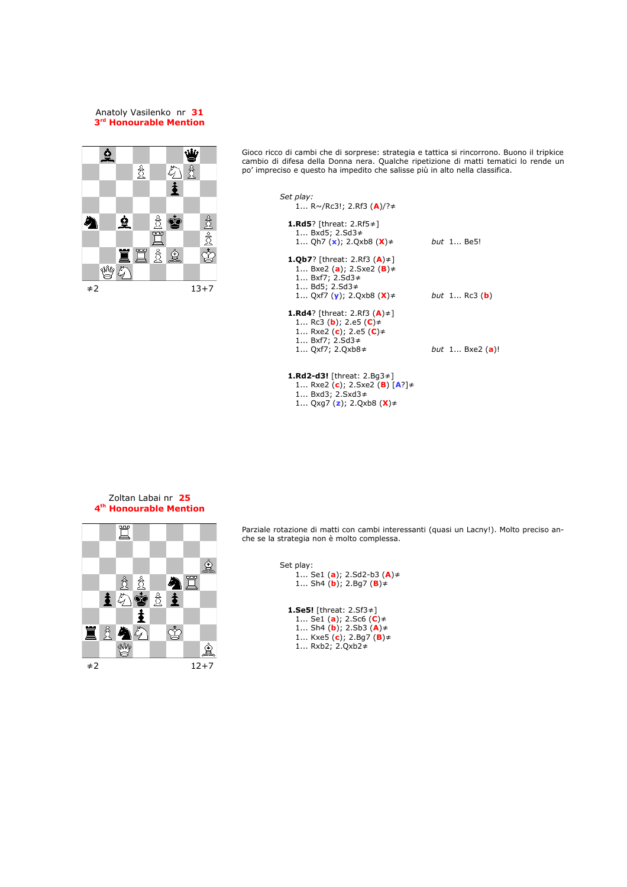#### Anatoly Vasilenko nr **31 3 rd Honourable Mention**



Gioco ricco di cambi che di sorprese: strategia e tattica si rincorrono. Buono il tripkice cambio di difesa della Donna nera. Qualche ripetizione di matti tematici lo rende un po' impreciso e questo ha impedito che salisse più in alto nella classifica.

| Set play:<br>1 $R \sim / Rc3!$ ; 2.Rf3 (A)/? $\neq$                                                                                                                                    |                               |
|----------------------------------------------------------------------------------------------------------------------------------------------------------------------------------------|-------------------------------|
| <b>1.Rd5</b> ? [threat: 2.Rf5 $\neq$ ]<br>1 Bxd5; 2.Sd3 $\neq$<br>1 Qh7 ( $\mathbf{x}$ ); 2.Qxb8 ( $\mathbf{X}$ ) $\neq$                                                               | but 1 Be5!                    |
| <b>1.Qb7</b> ? [threat: 2.Rf3 $(A) \neq 1$<br>1 Bxe2 (a); 2.Sxe2 ( <b>B</b> ) $\neq$<br>1 $Bxf7; 2.Sd3 \neq$<br>1 Bd5; 2.Sd3 $\neq$<br>1 Qxf7 ( <b>v</b> ); 2.Qxb8 ( <b>X</b> ) $\neq$ | <i>but</i> 1 Rc3 ( <b>b</b> ) |
| <b>1.Rd4</b> ? [threat: 2.Rf3 $(A) \neq$ ]<br>1 Rc3 ( <b>b</b> ); 2.e5 ( <b>C</b> ) $\neq$<br>1 Rxe2 (c); 2.e5 (C)≠<br>1 Bxf7; 2.Sd3 $\neq$<br>1 Qxf7; 2.Qxb8 $\neq$                   | <i>but</i> 1 Bxe2 (a)!        |
| <b>1.Rd2-d3!</b> [threat: $2.Bq3\neq$ ]<br>1 Rxe2 (c); 2.Sxe2 (B) [A?]≠<br>1 Bxd3; 2.Sxd3 $\neq$                                                                                       |                               |

1... Qxg7 (**z**); 2.Qxb8 (**X**)≠

#### Zoltan Labai nr **25 4 th Honourable Mention**



Parziale rotazione di matti con cambi interessanti (quasi un Lacny!). Molto preciso anche se la strategia non è molto complessa.

```
Set play:
     1... Se1 (a); 2.Sd2-b3 (A)≠
     1... Sh4 (b); 2.Bg7 (B)≠
  1.Se5! [threat: 2.Sf3≠]
     1... Se1 (a); 2.Sc6 (C)≠
     1... Sh4 (b); 2.Sb3 (A)≠
     1... Kxe5 (c); 2.Bg7 (B)≠
     1... Rxb2; 2.Qxb2≠
```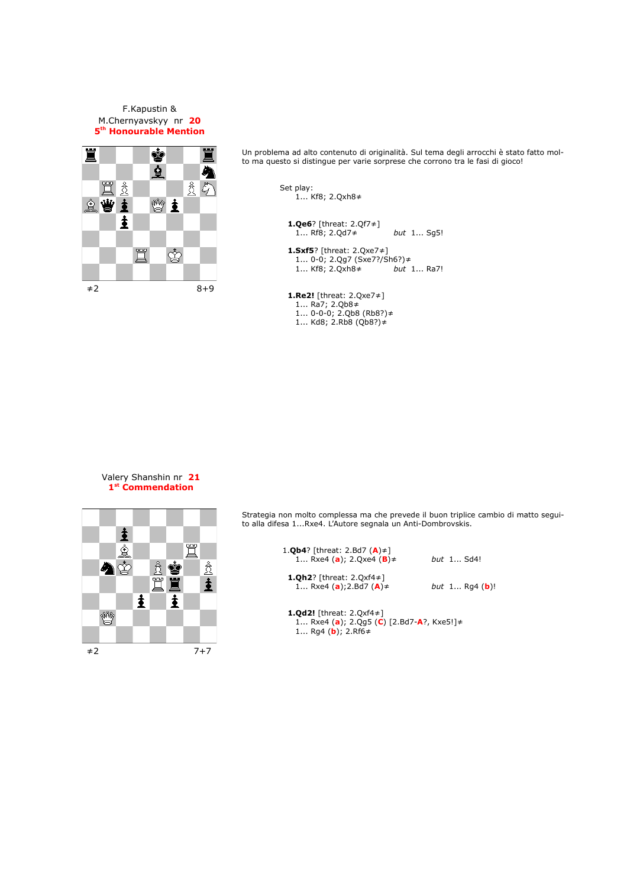F.Kapustin & M.Chernyavskyy nr **20 5 th Honourable Mention**



Un problema ad alto contenuto di originalità. Sul tema degli arrocchi è stato fatto molto ma questo si distingue per varie sorprese che corrono tra le fasi di gioco!

> Set play: 1... Kf8; 2.Qxh8≠ **1.Qe6**? [threat: 2.Qf7≠] 1... Rf8; 2.Qd7≠ *but* 1... Sg5! **1.Sxf5**? [threat: 2.Qxe7≠] 1... 0-0; 2.Qg7 (Sxe7?/Sh6?)≠ 1... Kf8; 2.Qxh8≠ *but* 1... Ra7! **1.Re2!** [threat: 2.Qxe7≠]

 1... Ra7; 2.Qb8≠ 1... 0-0-0; 2.Qb8 (Rb8?)≠ 1... Kd8; 2.Rb8 (Qb8?)≠

#### Valery Shanshin nr **21 1 st Commendation**



Strategia non molto complessa ma che prevede il buon triplice cambio di matto seguito alla difesa 1...Rxe4. L'Autore segnala un Anti-Dombrovskis.

| 1. <b>Qb4</b> ? [threat: 2.Bd7 $(A) \neq 1$<br>1 Rxe4 (a); 2.0xe4 (B) $\neq$                                                 | but $1$ Sd4!                   |
|------------------------------------------------------------------------------------------------------------------------------|--------------------------------|
| <b>1.0h2</b> ? [threat: 2.0xf4 $\neq$ ]<br>1 Rxe4 (a); 2.Bd7 (A) $\neq$                                                      | <i>but</i> 1 Rq4 ( <b>b</b> )! |
| <b>1.0d2!</b> [threat: 2.0xf4 $\neq$ ]<br>1 Rxe4 (a); 2.0q5 (C) [2.Bd7-A?, Kxe5!] $\neq$<br>1 Rg4 ( <b>b</b> ); 2.Rf6 $\neq$ |                                |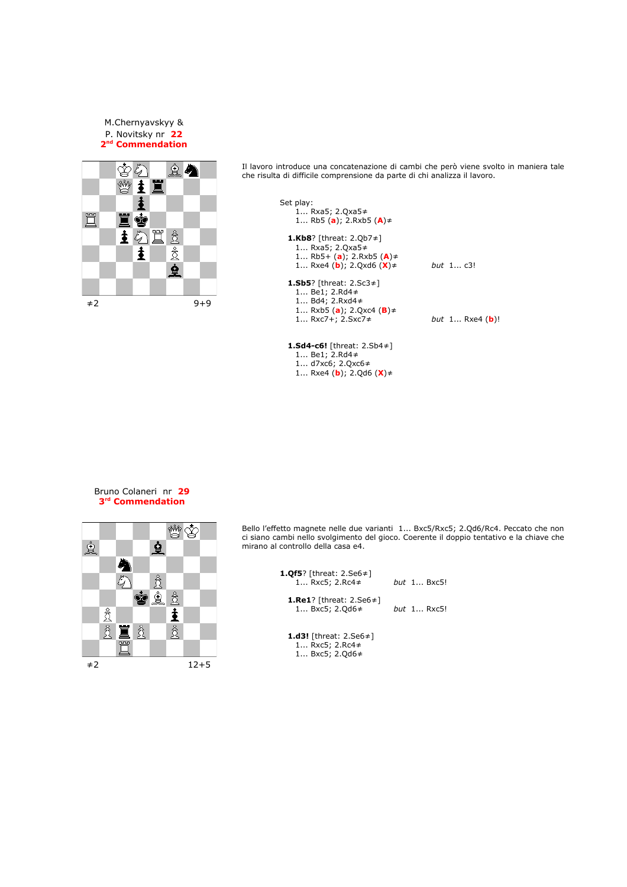M.Chernyavskyy & P. Novitsky nr **22 2 nd Commendation**



Il lavoro introduce una concatenazione di cambi che però viene svolto in maniera tale che risulta di difficile comprensione da parte di chi analizza il lavoro.

| Set play:<br>1 Rxa5; 2.Qxa5≠<br>1 Rb5 (a); 2.Rxb5 (A) $\neq$                                                                                                |                                 |
|-------------------------------------------------------------------------------------------------------------------------------------------------------------|---------------------------------|
| <b>1.Kb8</b> ? [threat: 2.Qb7 $\neq$ ]<br>1 Rxa5; 2.Qxa5≠<br>1 Rb5+ (a); 2.Rxb5 (A)≠<br>1 Rxe4 ( <b>b</b> ); 2.Qxd6 ( <b>X</b> ) $\neq$                     | <i>but</i> 1 c3!                |
| <b>1.Sb5</b> ? [threat: $2.Sc3\neq$ ]<br>1 Be1; 2.Rd4 $\neq$<br>1 Bd4: 2.Rxd4 $\neq$<br>1 Rxb5 ( <b>a</b> ); 2.Qxc4 ( <b>B</b> ) $\neq$<br>1 Rxc7+; 2.Sxc7≠ | <i>but</i> 1 Rxe4 ( <b>b</b> )! |
| <b>1.Sd4-c6!</b> [threat: 2.Sb4 $\neq$ ]                                                                                                                    |                                 |

#### Bruno Colaneri nr **29 3 rd Commendation**



Bello l'effetto magnete nelle due varianti 1... Bxc5/Rxc5; 2.Qd6/Rc4. Peccato che non ci siano cambi nello svolgimento del gioco. Coerente il doppio tentativo e la chiave che mirano al controllo della casa e4.

| <b>1.0f5</b> ? [threat: 2.Se6 $\neq$ ]<br>1 Rxc5; 2.Rc4 $\neq$ | but $1$ Bxc5!      |
|----------------------------------------------------------------|--------------------|
| <b>1.Re1</b> ? [threat: $2.5e6 \ne 1$<br>1 Bxc5: 2.0d6 $\neq$  | <i>but</i> 1 Rxc5! |

**1.d3!** [threat: 2.Se6≠] 1... Rxc5; 2.Rc4≠ 1... Bxc5; 2.Qd6≠

 1... Be1; 2.Rd4≠ 1... d7xc6; 2.Qxc6≠ 1... Rxe4 (**b**); 2.Qd6 (**X**)≠